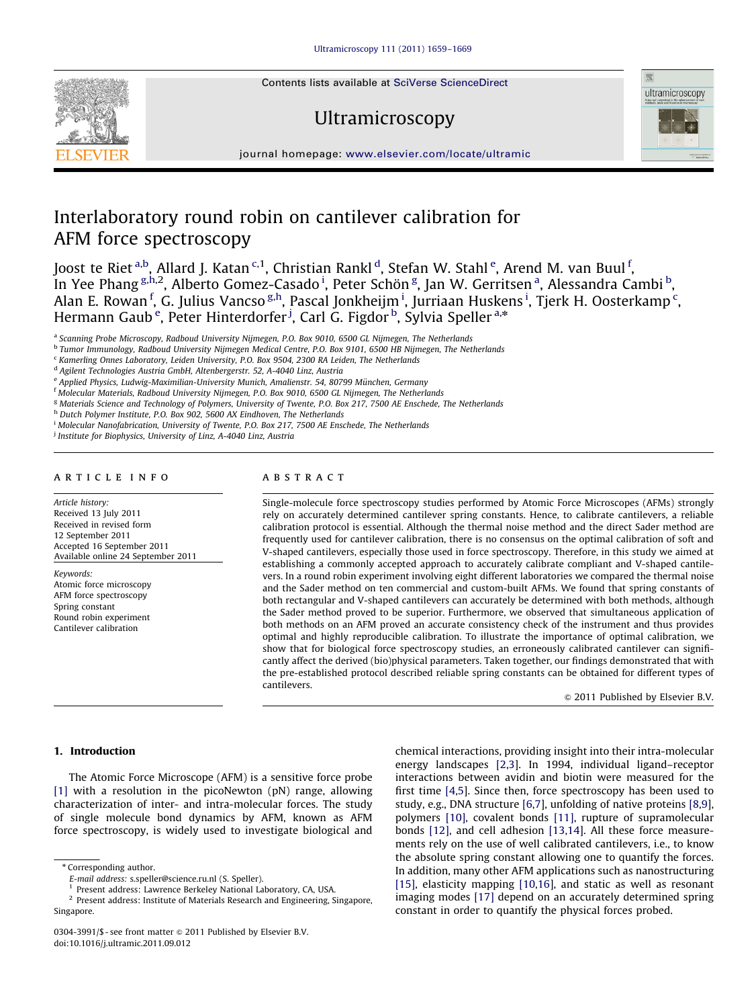Contents lists available at [SciVerse ScienceDirect](www.elsevier.com/locate/ultramic)

# Ultramicroscopy



journal homepage: <www.elsevier.com/locate/ultramic>

# Interlaboratory round robin on cantilever calibration for AFM force spectroscopy

Joost te Riet <sup>a,b</sup>, Allard J. Katan <sup>c,1</sup>, Christian Rankl <sup>d</sup>, Stefan W. Stahl <sup>e</sup>, Arend M. van Buul <sup>f</sup>, In Yee Phang <sup>g,h,2</sup>, Alberto Gomez-Casado <sup>i</sup>, Peter Schön <sup>g</sup>, Jan W. Gerritsen <sup>a</sup>, Alessandra Cambi <sup>b</sup>, Alan E. Rowan <sup>f</sup>, G. Julius Vancso <sup>g,h</sup>, Pascal Jonkheijm <sup>i</sup>, Jurriaan Huskens <sup>i</sup>, Tjerk H. Oosterkamp <sup>c</sup>, Hermann Gaub<sup>e</sup>, Peter Hinterdorfer <sup>j</sup>, Carl G. Figdor <sup>b</sup>, Sylvia Speller <sup>a,\*</sup>

a Scanning Probe Microscopy, Radboud University Nijmegen, P.O. Box 9010, 6500 GL Nijmegen, The Netherlands

<sup>b</sup> Tumor Immunology, Radboud University Nijmegen Medical Centre, P.O. Box 9101, 6500 HB Nijmegen, The Netherlands

<sup>c</sup> Kamerling Onnes Laboratory, Leiden University, P.O. Box 9504, 2300 RA Leiden, The Netherlands

<sup>d</sup> Agilent Technologies Austria GmbH, Altenbergerstr. 52, A-4040 Linz, Austria

<sup>e</sup> Applied Physics, Ludwig-Maximilian-University Munich, Amalienstr. 54, 80799 München, Germany

<sup>f</sup> Molecular Materials, Radboud University Nijmegen, P.O. Box 9010, 6500 GL Nijmegen, The Netherlands

<sup>g</sup> Materials Science and Technology of Polymers, University of Twente, P.O. Box 217, 7500 AE Enschede, The Netherlands

h Dutch Polymer Institute, P.O. Box 902, 5600 AX Eindhoven, The Netherlands

<sup>i</sup> Molecular Nanofabrication, University of Twente, P.O. Box 217, 7500 AE Enschede, The Netherlands

<sup>j</sup> Institute for Biophysics, University of Linz, A-4040 Linz, Austria

# article info

#### Article history:

Received 13 July 2011 Received in revised form 12 September 2011 Accepted 16 September 2011 Available online 24 September 2011

Keywords: Atomic force microscopy AFM force spectroscopy Spring constant Round robin experiment Cantilever calibration

# ABSTRACT

Single-molecule force spectroscopy studies performed by Atomic Force Microscopes (AFMs) strongly rely on accurately determined cantilever spring constants. Hence, to calibrate cantilevers, a reliable calibration protocol is essential. Although the thermal noise method and the direct Sader method are frequently used for cantilever calibration, there is no consensus on the optimal calibration of soft and V-shaped cantilevers, especially those used in force spectroscopy. Therefore, in this study we aimed at establishing a commonly accepted approach to accurately calibrate compliant and V-shaped cantilevers. In a round robin experiment involving eight different laboratories we compared the thermal noise and the Sader method on ten commercial and custom-built AFMs. We found that spring constants of both rectangular and V-shaped cantilevers can accurately be determined with both methods, although the Sader method proved to be superior. Furthermore, we observed that simultaneous application of both methods on an AFM proved an accurate consistency check of the instrument and thus provides optimal and highly reproducible calibration. To illustrate the importance of optimal calibration, we show that for biological force spectroscopy studies, an erroneously calibrated cantilever can significantly affect the derived (bio)physical parameters. Taken together, our findings demonstrated that with the pre-established protocol described reliable spring constants can be obtained for different types of cantilevers.

 $@$  2011 Published by Elsevier B.V.

# 1. Introduction

The Atomic Force Microscope (AFM) is a sensitive force probe [\[1\]](#page-9-0) with a resolution in the picoNewton (pN) range, allowing characterization of inter- and intra-molecular forces. The study of single molecule bond dynamics by AFM, known as AFM force spectroscopy, is widely used to investigate biological and

\* Corresponding author.

chemical interactions, providing insight into their intra-molecular energy landscapes [\[2](#page-9-0),[3\]](#page-9-0). In 1994, individual ligand–receptor interactions between avidin and biotin were measured for the first time [\[4,5\]](#page-9-0). Since then, force spectroscopy has been used to study, e.g., DNA structure [\[6,7](#page-9-0)], unfolding of native proteins [\[8,9\]](#page-9-0), polymers [\[10\],](#page-9-0) covalent bonds [\[11\]](#page-9-0), rupture of supramolecular bonds [\[12\],](#page-9-0) and cell adhesion [\[13,14\]](#page-9-0). All these force measurements rely on the use of well calibrated cantilevers, i.e., to know the absolute spring constant allowing one to quantify the forces. In addition, many other AFM applications such as nanostructuring [\[15\]](#page-9-0), elasticity mapping [\[10,16](#page-9-0)], and static as well as resonant imaging modes [\[17\]](#page-9-0) depend on an accurately determined spring constant in order to quantify the physical forces probed.

E-mail address: [s.speller@science.ru.nl \(S. Speller\)](mailto:s.speller@science.ru.nl).

<sup>&</sup>lt;sup>1</sup> Present address: Lawrence Berkeley National Laboratory, CA, USA.

<sup>2</sup> Present address: Institute of Materials Research and Engineering, Singapore, Singapore.

<sup>0304-3991/\$ -</sup> see front matter  $\odot$  2011 Published by Elsevier B.V. doi:[10.1016/j.ultramic.2011.09.012](dx.doi.org/10.1016/j.ultramic.2011.09.012)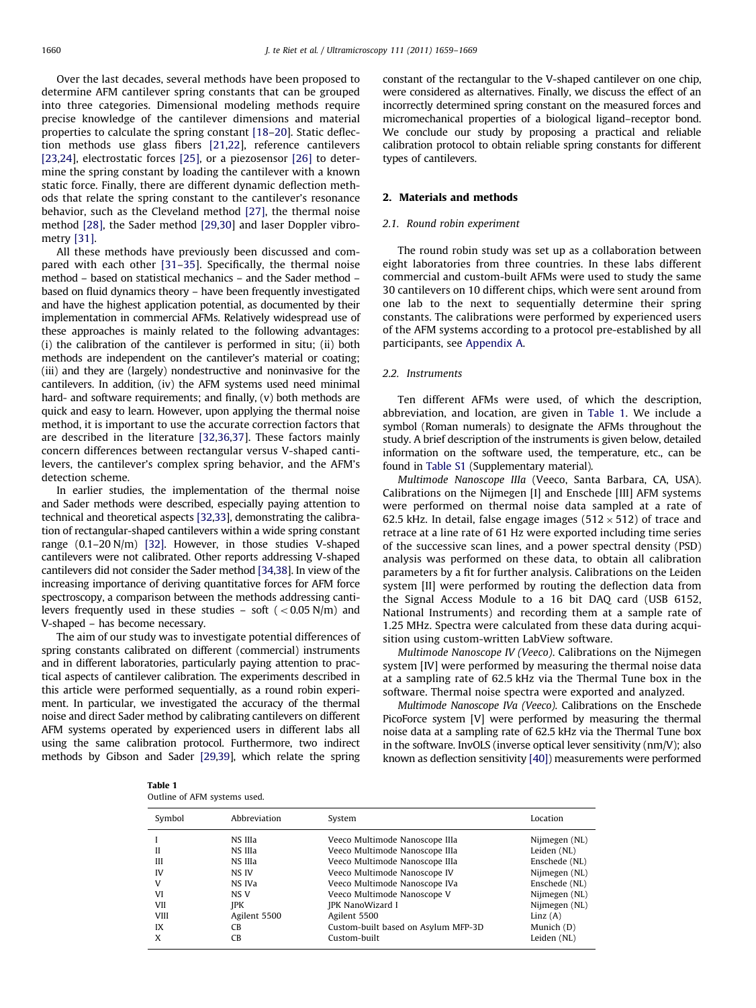Over the last decades, several methods have been proposed to determine AFM cantilever spring constants that can be grouped into three categories. Dimensional modeling methods require precise knowledge of the cantilever dimensions and material properties to calculate the spring constant [\[18–20](#page-9-0)]. Static deflection methods use glass fibers [\[21,22](#page-9-0)], reference cantilevers [\[23,24\]](#page-9-0), electrostatic forces [\[25\]](#page-9-0), or a piezosensor [\[26\]](#page-9-0) to determine the spring constant by loading the cantilever with a known static force. Finally, there are different dynamic deflection methods that relate the spring constant to the cantilever's resonance behavior, such as the Cleveland method [\[27\],](#page-9-0) the thermal noise method [\[28\]](#page-9-0), the Sader method [\[29,30](#page-9-0)] and laser Doppler vibrometry [\[31\]](#page-9-0).

All these methods have previously been discussed and compared with each other [\[31–35](#page-9-0)]. Specifically, the thermal noise method – based on statistical mechanics – and the Sader method – based on fluid dynamics theory – have been frequently investigated and have the highest application potential, as documented by their implementation in commercial AFMs. Relatively widespread use of these approaches is mainly related to the following advantages: (i) the calibration of the cantilever is performed in situ; (ii) both methods are independent on the cantilever's material or coating; (iii) and they are (largely) nondestructive and noninvasive for the cantilevers. In addition, (iv) the AFM systems used need minimal hard- and software requirements; and finally, (v) both methods are quick and easy to learn. However, upon applying the thermal noise method, it is important to use the accurate correction factors that are described in the literature [\[32,36](#page-9-0),[37\]](#page-9-0). These factors mainly concern differences between rectangular versus V-shaped cantilevers, the cantilever's complex spring behavior, and the AFM's detection scheme.

In earlier studies, the implementation of the thermal noise and Sader methods were described, especially paying attention to technical and theoretical aspects [\[32,33](#page-9-0)], demonstrating the calibration of rectangular-shaped cantilevers within a wide spring constant range (0.1–20 N/m) [\[32\]](#page-9-0). However, in those studies V-shaped cantilevers were not calibrated. Other reports addressing V-shaped cantilevers did not consider the Sader method [\[34,38\]](#page-9-0). In view of the increasing importance of deriving quantitative forces for AFM force spectroscopy, a comparison between the methods addressing cantilevers frequently used in these studies – soft  $(< 0.05$  N/m) and V-shaped – has become necessary.

The aim of our study was to investigate potential differences of spring constants calibrated on different (commercial) instruments and in different laboratories, particularly paying attention to practical aspects of cantilever calibration. The experiments described in this article were performed sequentially, as a round robin experiment. In particular, we investigated the accuracy of the thermal noise and direct Sader method by calibrating cantilevers on different AFM systems operated by experienced users in different labs all using the same calibration protocol. Furthermore, two indirect methods by Gibson and Sader [\[29](#page-9-0),[39](#page-9-0)], which relate the spring constant of the rectangular to the V-shaped cantilever on one chip, were considered as alternatives. Finally, we discuss the effect of an incorrectly determined spring constant on the measured forces and micromechanical properties of a biological ligand–receptor bond. We conclude our study by proposing a practical and reliable calibration protocol to obtain reliable spring constants for different types of cantilevers.

# 2. Materials and methods

#### 2.1. Round robin experiment

The round robin study was set up as a collaboration between eight laboratories from three countries. In these labs different commercial and custom-built AFMs were used to study the same 30 cantilevers on 10 different chips, which were sent around from one lab to the next to sequentially determine their spring constants. The calibrations were performed by experienced users of the AFM systems according to a protocol pre-established by all participants, see [Appendix A.](#page-8-0)

# 2.2. Instruments

Ten different AFMs were used, of which the description, abbreviation, and location, are given in Table 1. We include a symbol (Roman numerals) to designate the AFMs throughout the study. A brief description of the instruments is given below, detailed information on the software used, the temperature, etc., can be found in [Table S1](#page-9-0) (Supplementary material).

Multimode Nanoscope IIIa (Veeco, Santa Barbara, CA, USA). Calibrations on the Nijmegen [I] and Enschede [III] AFM systems were performed on thermal noise data sampled at a rate of 62.5 kHz. In detail, false engage images (512  $\times$  512) of trace and retrace at a line rate of 61 Hz were exported including time series of the successive scan lines, and a power spectral density (PSD) analysis was performed on these data, to obtain all calibration parameters by a fit for further analysis. Calibrations on the Leiden system [II] were performed by routing the deflection data from the Signal Access Module to a 16 bit DAQ card (USB 6152, National Instruments) and recording them at a sample rate of 1.25 MHz. Spectra were calculated from these data during acquisition using custom-written LabView software.

Multimode Nanoscope IV (Veeco). Calibrations on the Nijmegen system [IV] were performed by measuring the thermal noise data at a sampling rate of 62.5 kHz via the Thermal Tune box in the software. Thermal noise spectra were exported and analyzed.

Multimode Nanoscope IVa (Veeco). Calibrations on the Enschede PicoForce system [V] were performed by measuring the thermal noise data at a sampling rate of 62.5 kHz via the Thermal Tune box in the software. InvOLS (inverse optical lever sensitivity (nm/V); also known as deflection sensitivity [\[40\]](#page-9-0)) measurements were performed

| Table 1 |                              |  |
|---------|------------------------------|--|
|         | Outline of AFM systems used. |  |

| Symbol                         | Abbreviation                                                    | System                                                                                                                                                                                                                        | Location                                                                                                          |
|--------------------------------|-----------------------------------------------------------------|-------------------------------------------------------------------------------------------------------------------------------------------------------------------------------------------------------------------------------|-------------------------------------------------------------------------------------------------------------------|
| Н<br>Ш<br>IV<br>v<br>VI<br>VII | NS IIIa<br>NS IIIa<br>NS IIIa<br>NS IV<br>NS IVa<br>NS V<br>IPK | Veeco Multimode Nanoscope IIIa<br>Veeco Multimode Nanoscope IIIa<br>Veeco Multimode Nanoscope IIIa<br>Veeco Multimode Nanoscope IV<br>Veeco Multimode Nanoscope IVa<br>Veeco Multimode Nanoscope V<br><b>JPK NanoWizard I</b> | Nijmegen (NL)<br>Leiden (NL)<br>Enschede (NL)<br>Nijmegen (NL)<br>Enschede (NL)<br>Nijmegen (NL)<br>Nijmegen (NL) |
| <b>VIII</b><br>IX              | Agilent 5500<br><b>CB</b>                                       | Agilent 5500<br>Custom-built based on Asylum MFP-3D                                                                                                                                                                           | Linz(A)<br>Munich (D)                                                                                             |
| X                              | <b>CB</b>                                                       | Custom-built                                                                                                                                                                                                                  | Leiden (NL)                                                                                                       |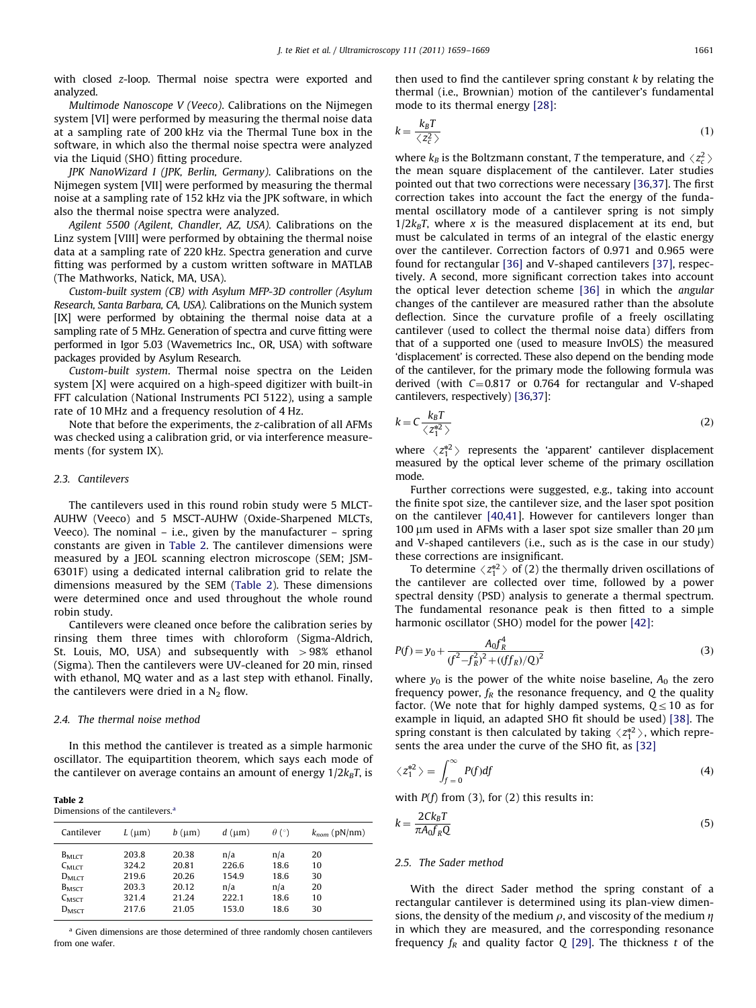<span id="page-2-0"></span>with closed z-loop. Thermal noise spectra were exported and analyzed.

Multimode Nanoscope V (Veeco). Calibrations on the Nijmegen system [VI] were performed by measuring the thermal noise data at a sampling rate of 200 kHz via the Thermal Tune box in the software, in which also the thermal noise spectra were analyzed via the Liquid (SHO) fitting procedure.

JPK NanoWizard I (JPK, Berlin, Germany). Calibrations on the Nijmegen system [VII] were performed by measuring the thermal noise at a sampling rate of 152 kHz via the JPK software, in which also the thermal noise spectra were analyzed.

Agilent 5500 (Agilent, Chandler, AZ, USA). Calibrations on the Linz system [VIII] were performed by obtaining the thermal noise data at a sampling rate of 220 kHz. Spectra generation and curve fitting was performed by a custom written software in MATLAB (The Mathworks, Natick, MA, USA).

Custom-built system (CB) with Asylum MFP-3D controller (Asylum Research, Santa Barbara, CA, USA). Calibrations on the Munich system [IX] were performed by obtaining the thermal noise data at a sampling rate of 5 MHz. Generation of spectra and curve fitting were performed in Igor 5.03 (Wavemetrics Inc., OR, USA) with software packages provided by Asylum Research.

Custom-built system. Thermal noise spectra on the Leiden system [X] were acquired on a high-speed digitizer with built-in FFT calculation (National Instruments PCI 5122), using a sample rate of 10 MHz and a frequency resolution of 4 Hz.

Note that before the experiments, the z-calibration of all AFMs was checked using a calibration grid, or via interference measurements (for system IX).

#### 2.3. Cantilevers

The cantilevers used in this round robin study were 5 MLCT-AUHW (Veeco) and 5 MSCT-AUHW (Oxide-Sharpened MLCTs, Veeco). The nominal – i.e., given by the manufacturer – spring constants are given in Table 2. The cantilever dimensions were measured by a JEOL scanning electron microscope (SEM; JSM-6301F) using a dedicated internal calibration grid to relate the dimensions measured by the SEM (Table 2). These dimensions were determined once and used throughout the whole round robin study.

Cantilevers were cleaned once before the calibration series by rinsing them three times with chloroform (Sigma-Aldrich, St. Louis, MO, USA) and subsequently with  $> 98\%$  ethanol (Sigma). Then the cantilevers were UV-cleaned for 20 min, rinsed with ethanol, MQ water and as a last step with ethanol. Finally, the cantilevers were dried in a  $N_2$  flow.

## 2.4. The thermal noise method

In this method the cantilever is treated as a simple harmonic oscillator. The equipartition theorem, which says each mode of the cantilever on average contains an amount of energy  $1/2k_BT$ , is

| Table |  |
|-------|--|
|-------|--|

|  | Dimensions of the cantilevers. <sup>a</sup> |
|--|---------------------------------------------|
|  |                                             |

| Cantilever                                                                      | $L$ ( $\mu$ m)                            | $b$ ( $\mu$ m)                            | $d$ ( $\mu$ m)                        | $\theta$ (°)                       | $k_{nom}$ (pN/nm)          |
|---------------------------------------------------------------------------------|-------------------------------------------|-------------------------------------------|---------------------------------------|------------------------------------|----------------------------|
| $B_{MLCT}$<br>$C_{\text{MLCT}}$<br>$D_{\text{MLCT}}$<br>$B_{MST}$<br>$C_{MSCT}$ | 203.8<br>324.2<br>219.6<br>203.3<br>321.4 | 20.38<br>20.81<br>20.26<br>20.12<br>21.24 | n/a<br>226.6<br>154.9<br>n/a<br>222.1 | n/a<br>18.6<br>18.6<br>n/a<br>18.6 | 20<br>10<br>30<br>20<br>10 |
| $D_{MSCT}$                                                                      | 217.6                                     | 21.05                                     | 153.0                                 | 18.6                               | 30                         |

<sup>a</sup> Given dimensions are those determined of three randomly chosen cantilevers from one wafer.

then used to find the cantilever spring constant  $k$  by relating the thermal (i.e., Brownian) motion of the cantilever's fundamental mode to its thermal energy [\[28\]](#page-9-0):

$$
k = \frac{k_B T}{\langle z_c^2 \rangle} \tag{1}
$$

where  $k_B$  is the Boltzmann constant, T the temperature, and  $\langle z_z^2 \rangle$ where  $\kappa_B$  is the bonzinalin constant, *t* the cemperature, and  $\langle z_c \rangle$  the mean square displacement of the cantilever. Later studies pointed out that two corrections were necessary [\[36,37\]](#page-9-0). The first correction takes into account the fact the energy of the fundamental oscillatory mode of a cantilever spring is not simply  $1/2k_BT$ , where x is the measured displacement at its end, but must be calculated in terms of an integral of the elastic energy over the cantilever. Correction factors of 0.971 and 0.965 were found for rectangular [\[36\]](#page-9-0) and V-shaped cantilevers [\[37\]](#page-9-0), respectively. A second, more significant correction takes into account the optical lever detection scheme [\[36\]](#page-9-0) in which the angular changes of the cantilever are measured rather than the absolute deflection. Since the curvature profile of a freely oscillating cantilever (used to collect the thermal noise data) differs from that of a supported one (used to measure InvOLS) the measured 'displacement' is corrected. These also depend on the bending mode of the cantilever, for the primary mode the following formula was derived (with  $C=0.817$  or 0.764 for rectangular and V-shaped cantilevers, respectively) [\[36,37\]](#page-9-0):

$$
k = C \frac{k_B T}{\langle z_1^{*2} \rangle} \tag{2}
$$

where  $\langle z_1^{*2} \rangle$  represents the 'apparent' cantilever displacement<br>measured by the optical lever scheme of the primary oscillation measured by the optical lever scheme of the primary oscillation mode.

Further corrections were suggested, e.g., taking into account the finite spot size, the cantilever size, and the laser spot position on the cantilever [\[40,41](#page-9-0)]. However for cantilevers longer than 100  $\mu$ m used in AFMs with a laser spot size smaller than 20  $\mu$ m and V-shaped cantilevers (i.e., such as is the case in our study) these corrections are insignificant.

To determine  $\langle z_1^{*2} \rangle$  of (2) the thermally driven oscillations of continuous continuous continuous continuous continuous continuous continuous continuous continuous continuous continuous continuous continuous continu the cantilever are collected over time, followed by a power spectral density (PSD) analysis to generate a thermal spectrum. The fundamental resonance peak is then fitted to a simple harmonic oscillator (SHO) model for the power [\[42\]:](#page-10-0)

$$
P(f) = y_0 + \frac{A_0 f_R^4}{(f^2 - f_R^2)^2 + ((f f_R)/Q)^2}
$$
\n(3)

where  $y_0$  is the power of the white noise baseline,  $A_0$  the zero frequency power,  $f_R$  the resonance frequency, and Q the quality factor. (We note that for highly damped systems,  $Q \leq 10$  as for example in liquid, an adapted SHO fit should be used) [\[38\]](#page-9-0). The spring constant is then calculated by taking  $\langle z_1^{*2} \rangle$ , which repre-<br>sents the area under the curve of the SHO fit as [32] sents the area under the curve of the SHO fit, as [\[32\]](#page-9-0)

$$
\langle z_1^{*2} \rangle = \int_{f=0}^{\infty} P(f) df \tag{4}
$$

with  $P(f)$  from (3), for (2) this results in:

$$
k = \frac{2Ck_B T}{\pi A_0 f_R Q} \tag{5}
$$

#### 2.5. The Sader method

With the direct Sader method the spring constant of a rectangular cantilever is determined using its plan-view dimensions, the density of the medium  $\rho$ , and viscosity of the medium  $\eta$ in which they are measured, and the corresponding resonance frequency  $f_R$  and quality factor Q [\[29\]](#page-9-0). The thickness t of the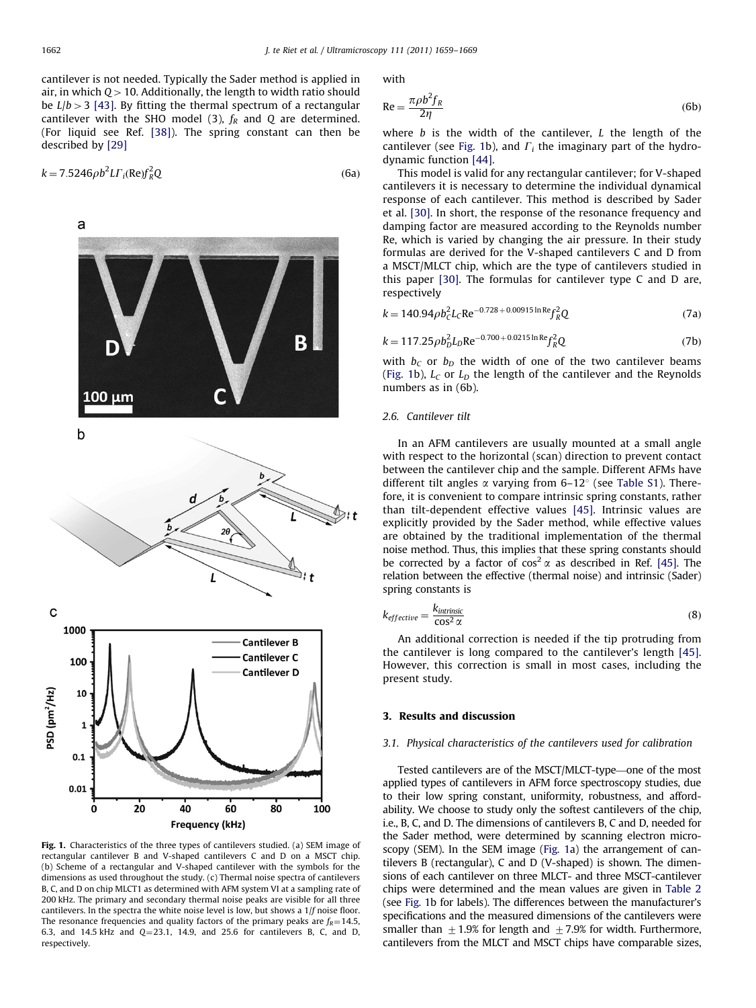<span id="page-3-0"></span>cantilever is not needed. Typically the Sader method is applied in air, in which  $Q>10$ . Additionally, the length to width ratio should be  $L/b > 3$  [\[43\].](#page-10-0) By fitting the thermal spectrum of a rectangular cantilever with the SHO model (3),  $f_R$  and Q are determined. (For liquid see Ref. [\[38\]\)](#page-9-0). The spring constant can then be described by [\[29\]](#page-9-0)

$$
k = 7.5246 \rho b^2 L \Gamma_i(\text{Re}) f_R^2 Q \tag{6a}
$$



Fig. 1. Characteristics of the three types of cantilevers studied. (a) SEM image of rectangular cantilever B and V-shaped cantilevers C and D on a MSCT chip. (b) Scheme of a rectangular and V-shaped cantilever with the symbols for the dimensions as used throughout the study. (c) Thermal noise spectra of cantilevers B, C, and D on chip MLCT1 as determined with AFM system VI at a sampling rate of 200 kHz. The primary and secondary thermal noise peaks are visible for all three cantilevers. In the spectra the white noise level is low, but shows a 1/f noise floor. The resonance frequencies and quality factors of the primary peaks are  $f_R$  = 14.5, 6.3, and 14.5 kHz and  $Q=23.1$ , 14.9, and 25.6 for cantilevers B, C, and D, respectively.

with

$$
Re = \frac{\pi \rho b^2 f_R}{2\eta} \tag{6b}
$$

where  $b$  is the width of the cantilever,  $L$  the length of the cantilever (see Fig. 1b), and  $\Gamma_i$  the imaginary part of the hydrodynamic function [\[44\].](#page-10-0)

This model is valid for any rectangular cantilever; for V-shaped cantilevers it is necessary to determine the individual dynamical response of each cantilever. This method is described by Sader et al. [\[30\]](#page-9-0). In short, the response of the resonance frequency and damping factor are measured according to the Reynolds number Re, which is varied by changing the air pressure. In their study formulas are derived for the V-shaped cantilevers C and D from a MSCT/MLCT chip, which are the type of cantilevers studied in this paper [\[30\].](#page-9-0) The formulas for cantilever type C and D are, respectively

$$
k = 140.94 \rho b_c^2 L_c \text{Re}^{-0.728 + 0.00915 \ln \text{Re}} f_R^2 Q \tag{7a}
$$

$$
k = 117.25 \rho b_D^2 L_D \text{Re}^{-0.700 + 0.0215 \ln \text{Re}} f_R^2 Q \tag{7b}
$$

with  $b<sub>C</sub>$  or  $b<sub>D</sub>$  the width of one of the two cantilever beams (Fig. 1b),  $L_C$  or  $L_D$  the length of the cantilever and the Reynolds numbers as in (6b).

# 2.6. Cantilever tilt

In an AFM cantilevers are usually mounted at a small angle with respect to the horizontal (scan) direction to prevent contact between the cantilever chip and the sample. Different AFMs have different tilt angles  $\alpha$  varying from 6–12 $\degree$  (see [Table S1](#page-9-0)). Therefore, it is convenient to compare intrinsic spring constants, rather than tilt-dependent effective values [\[45\]](#page-10-0). Intrinsic values are explicitly provided by the Sader method, while effective values are obtained by the traditional implementation of the thermal noise method. Thus, this implies that these spring constants should be corrected by a factor of  $\cos^2 \alpha$  as described in Ref. [\[45\]](#page-10-0). The relation between the effective (thermal noise) and intrinsic (Sader) spring constants is

$$
k_{effective} = \frac{k_{intrinsic}}{\cos^2 \alpha} \tag{8}
$$

An additional correction is needed if the tip protruding from the cantilever is long compared to the cantilever's length [\[45\].](#page-10-0) However, this correction is small in most cases, including the present study.

## 3. Results and discussion

### 3.1. Physical characteristics of the cantilevers used for calibration

Tested cantilevers are of the MSCT/MLCT-type—one of the most applied types of cantilevers in AFM force spectroscopy studies, due to their low spring constant, uniformity, robustness, and affordability. We choose to study only the softest cantilevers of the chip, i.e., B, C, and D. The dimensions of cantilevers B, C and D, needed for the Sader method, were determined by scanning electron microscopy (SEM). In the SEM image (Fig. 1a) the arrangement of cantilevers B (rectangular), C and D (V-shaped) is shown. The dimensions of each cantilever on three MLCT- and three MSCT-cantilever chips were determined and the mean values are given in [Table 2](#page-2-0) (see Fig. 1b for labels). The differences between the manufacturer's specifications and the measured dimensions of the cantilevers were smaller than  $\pm$  1.9% for length and  $\pm$  7.9% for width. Furthermore, cantilevers from the MLCT and MSCT chips have comparable sizes,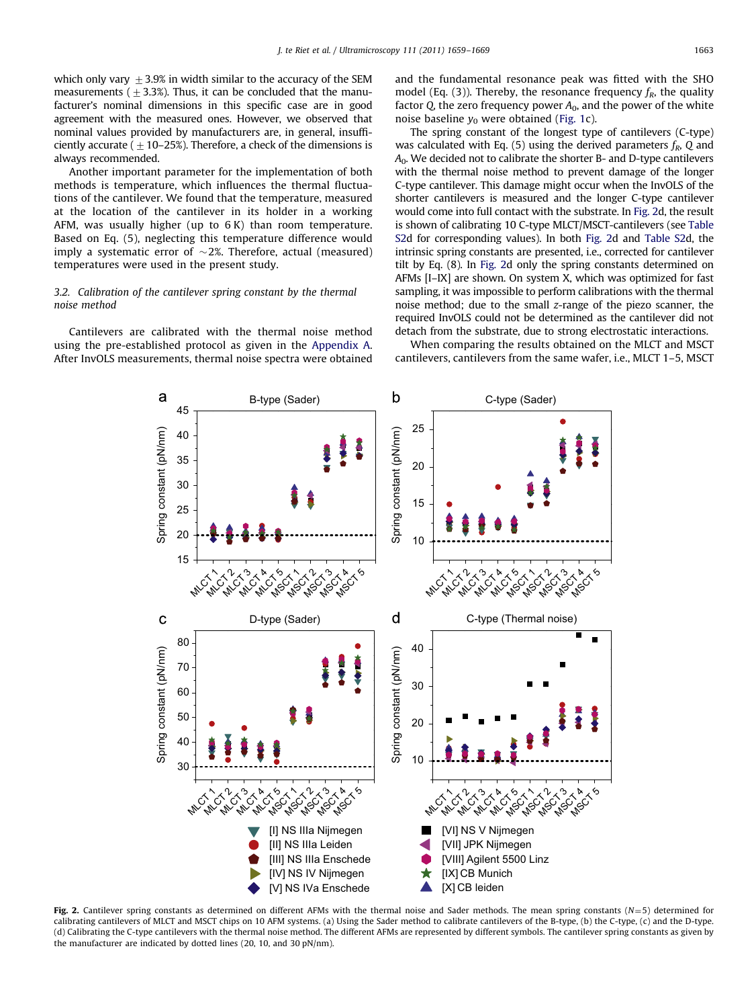<span id="page-4-0"></span>which only vary  $\pm$  3.9% in width similar to the accuracy of the SEM measurements ( $\pm$  3.3%). Thus, it can be concluded that the manufacturer's nominal dimensions in this specific case are in good agreement with the measured ones. However, we observed that nominal values provided by manufacturers are, in general, insufficiently accurate ( $\pm$  10–25%). Therefore, a check of the dimensions is always recommended.

Another important parameter for the implementation of both methods is temperature, which influences the thermal fluctuations of the cantilever. We found that the temperature, measured at the location of the cantilever in its holder in a working AFM, was usually higher (up to 6 K) than room temperature. Based on Eq. (5), neglecting this temperature difference would imply a systematic error of  $\sim$ 2%. Therefore, actual (measured) temperatures were used in the present study.

# 3.2. Calibration of the cantilever spring constant by the thermal noise method

Cantilevers are calibrated with the thermal noise method using the pre-established protocol as given in the [Appendix A.](#page-8-0) After InvOLS measurements, thermal noise spectra were obtained and the fundamental resonance peak was fitted with the SHO model (Eq. (3)). Thereby, the resonance frequency  $f_R$ , the quality factor Q, the zero frequency power  $A_0$ , and the power of the white noise baseline  $y_0$  were obtained ([Fig. 1c](#page-3-0)).

The spring constant of the longest type of cantilevers (C-type) was calculated with Eq. (5) using the derived parameters  $f_R$ , Q and  $A<sub>0</sub>$ . We decided not to calibrate the shorter B- and D-type cantilevers with the thermal noise method to prevent damage of the longer C-type cantilever. This damage might occur when the InvOLS of the shorter cantilevers is measured and the longer C-type cantilever would come into full contact with the substrate. In Fig. 2d, the result is shown of calibrating 10 C-type MLCT/MSCT-cantilevers (see [Table](#page-9-0) [S2](#page-9-0)d for corresponding values). In both Fig. 2d and [Table S2](#page-9-0)d, the intrinsic spring constants are presented, i.e., corrected for cantilever tilt by Eq. (8). In Fig. 2d only the spring constants determined on AFMs [I–IX] are shown. On system X, which was optimized for fast sampling, it was impossible to perform calibrations with the thermal noise method; due to the small z-range of the piezo scanner, the required InvOLS could not be determined as the cantilever did not detach from the substrate, due to strong electrostatic interactions.

When comparing the results obtained on the MLCT and MSCT cantilevers, cantilevers from the same wafer, i.e., MLCT 1–5, MSCT



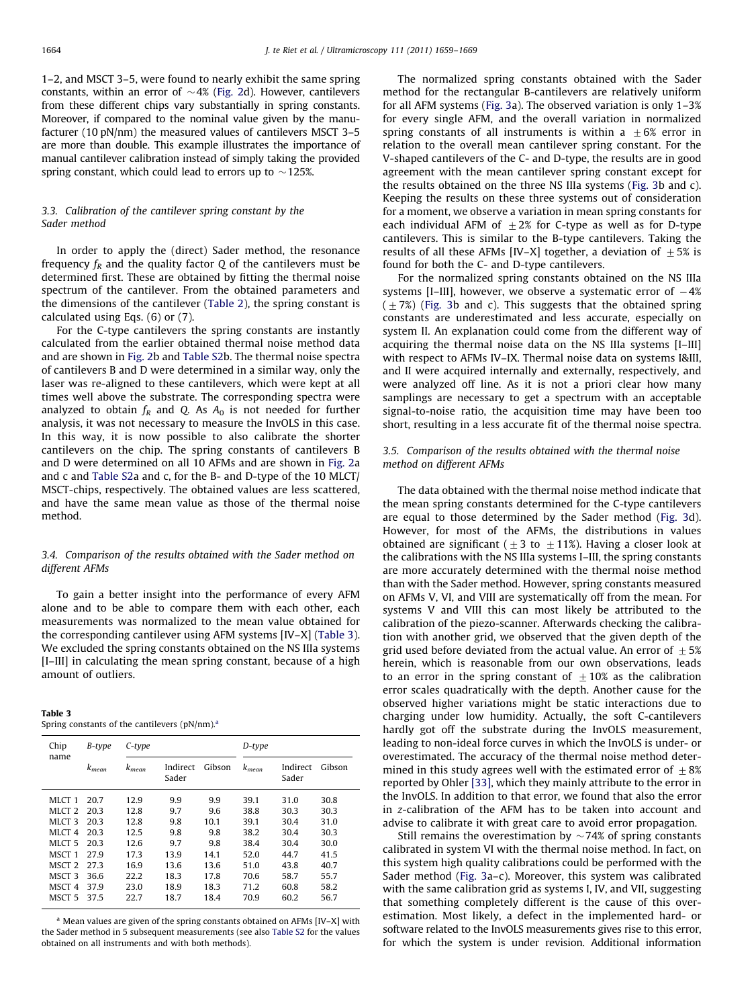<span id="page-5-0"></span>1–2, and MSCT 3–5, were found to nearly exhibit the same spring constants, within an error of  $\sim$  4% [\(Fig. 2](#page-4-0)d). However, cantilevers from these different chips vary substantially in spring constants. Moreover, if compared to the nominal value given by the manufacturer (10 pN/nm) the measured values of cantilevers MSCT 3–5 are more than double. This example illustrates the importance of manual cantilever calibration instead of simply taking the provided spring constant, which could lead to errors up to  $\sim$  125%.

# 3.3. Calibration of the cantilever spring constant by the Sader method

In order to apply the (direct) Sader method, the resonance frequency  $f_R$  and the quality factor Q of the cantilevers must be determined first. These are obtained by fitting the thermal noise spectrum of the cantilever. From the obtained parameters and the dimensions of the cantilever ([Table 2](#page-2-0)), the spring constant is calculated using Eqs. (6) or (7).

For the C-type cantilevers the spring constants are instantly calculated from the earlier obtained thermal noise method data and are shown in [Fig. 2b](#page-4-0) and [Table S2](#page-9-0)b. The thermal noise spectra of cantilevers B and D were determined in a similar way, only the laser was re-aligned to these cantilevers, which were kept at all times well above the substrate. The corresponding spectra were analyzed to obtain  $f_R$  and Q. As  $A_0$  is not needed for further analysis, it was not necessary to measure the InvOLS in this case. In this way, it is now possible to also calibrate the shorter cantilevers on the chip. The spring constants of cantilevers B and D were determined on all 10 AFMs and are shown in [Fig. 2](#page-4-0)a and c and [Table S2](#page-9-0)a and c, for the B- and D-type of the 10 MLCT/ MSCT-chips, respectively. The obtained values are less scattered, and have the same mean value as those of the thermal noise method.

# 3.4. Comparison of the results obtained with the Sader method on different AFMs

To gain a better insight into the performance of every AFM alone and to be able to compare them with each other, each measurements was normalized to the mean value obtained for the corresponding cantilever using AFM systems [IV–X] (Table 3). We excluded the spring constants obtained on the NS IIIa systems [I–III] in calculating the mean spring constant, because of a high amount of outliers.

#### Table 3

Spring constants of the cantilevers  $(pN/nm)$ .<sup>a</sup>

| Chip              | B-type     | C-type     |                   |        | D-type     |                   |        |
|-------------------|------------|------------|-------------------|--------|------------|-------------------|--------|
| name              | $k_{mean}$ | $k_{mean}$ | Indirect<br>Sader | Gibson | $k_{mean}$ | Indirect<br>Sader | Gibson |
| MLCT <sub>1</sub> | 20.7       | 12.9       | 9.9               | 9.9    | 39.1       | 31.0              | 30.8   |
| MLCT <sub>2</sub> | 20.3       | 12.8       | 9.7               | 9.6    | 38.8       | 30.3              | 30.3   |
| MLCT <sub>3</sub> | 20.3       | 12.8       | 9.8               | 10.1   | 39.1       | 30.4              | 31.0   |
| MLCT <sub>4</sub> | 203        | 12.5       | 9.8               | 9.8    | 38.2       | 30.4              | 30.3   |
| MLCT <sub>5</sub> | 203        | 12.6       | 9.7               | 9.8    | 38.4       | 30.4              | 30.0   |
| MSCT 1            | 279        | 17.3       | 13.9              | 14.1   | 52.0       | 44.7              | 41.5   |
| MSCT <sub>2</sub> | 27.3       | 16.9       | 13.6              | 13.6   | 51.0       | 43.8              | 40.7   |
| MSCT 3            | 36.6       | 22.2       | 18.3              | 17.8   | 70.6       | 58.7              | 55.7   |
| MSCT <sub>4</sub> | 379        | 23.0       | 18.9              | 18.3   | 71.2       | 60.8              | 58.2   |
| MSCT 5            | 375        | 22.7       | 18.7              | 18.4   | 70.9       | 60.2              | 56.7   |

<sup>a</sup> Mean values are given of the spring constants obtained on AFMs [IV–X] with the Sader method in 5 subsequent measurements (see also [Table S2](#page-9-0) for the values obtained on all instruments and with both methods).

The normalized spring constants obtained with the Sader method for the rectangular B-cantilevers are relatively uniform for all AFM systems ([Fig. 3](#page-6-0)a). The observed variation is only 1–3% for every single AFM, and the overall variation in normalized spring constants of all instruments is within a  $\pm 6$ % error in relation to the overall mean cantilever spring constant. For the V-shaped cantilevers of the C- and D-type, the results are in good agreement with the mean cantilever spring constant except for the results obtained on the three NS IIIa systems [\(Fig. 3b](#page-6-0) and c). Keeping the results on these three systems out of consideration for a moment, we observe a variation in mean spring constants for each individual AFM of  $+2\%$  for C-type as well as for D-type cantilevers. This is similar to the B-type cantilevers. Taking the results of all these AFMs [IV–X] together, a deviation of  $\pm$  5% is found for both the C- and D-type cantilevers.

For the normalized spring constants obtained on the NS IIIa systems [I-III], however, we observe a systematic error of  $-4\%$  $(\pm 7%)$  ([Fig. 3](#page-6-0)b and c). This suggests that the obtained spring constants are underestimated and less accurate, especially on system II. An explanation could come from the different way of acquiring the thermal noise data on the NS IIIa systems [I–III] with respect to AFMs IV–IX. Thermal noise data on systems I&III, and II were acquired internally and externally, respectively, and were analyzed off line. As it is not a priori clear how many samplings are necessary to get a spectrum with an acceptable signal-to-noise ratio, the acquisition time may have been too short, resulting in a less accurate fit of the thermal noise spectra.

# 3.5. Comparison of the results obtained with the thermal noise method on different AFMs

The data obtained with the thermal noise method indicate that the mean spring constants determined for the C-type cantilevers are equal to those determined by the Sader method ([Fig. 3d](#page-6-0)). However, for most of the AFMs, the distributions in values obtained are significant ( $\pm 3$  to  $\pm 11$ %). Having a closer look at the calibrations with the NS IIIa systems I–III, the spring constants are more accurately determined with the thermal noise method than with the Sader method. However, spring constants measured on AFMs V, VI, and VIII are systematically off from the mean. For systems V and VIII this can most likely be attributed to the calibration of the piezo-scanner. Afterwards checking the calibration with another grid, we observed that the given depth of the grid used before deviated from the actual value. An error of  $\pm 5\%$ herein, which is reasonable from our own observations, leads to an error in the spring constant of  $\pm 10\%$  as the calibration error scales quadratically with the depth. Another cause for the observed higher variations might be static interactions due to charging under low humidity. Actually, the soft C-cantilevers hardly got off the substrate during the InvOLS measurement, leading to non-ideal force curves in which the InvOLS is under- or overestimated. The accuracy of the thermal noise method determined in this study agrees well with the estimated error of  $\pm 8\%$ reported by Ohler [\[33\],](#page-9-0) which they mainly attribute to the error in the InvOLS. In addition to that error, we found that also the error in z-calibration of the AFM has to be taken into account and advise to calibrate it with great care to avoid error propagation.

Still remains the overestimation by  $\sim$  74% of spring constants calibrated in system VI with the thermal noise method. In fact, on this system high quality calibrations could be performed with the Sader method ([Fig. 3](#page-6-0)a–c). Moreover, this system was calibrated with the same calibration grid as systems I, IV, and VII, suggesting that something completely different is the cause of this overestimation. Most likely, a defect in the implemented hard- or software related to the InvOLS measurements gives rise to this error, for which the system is under revision. Additional information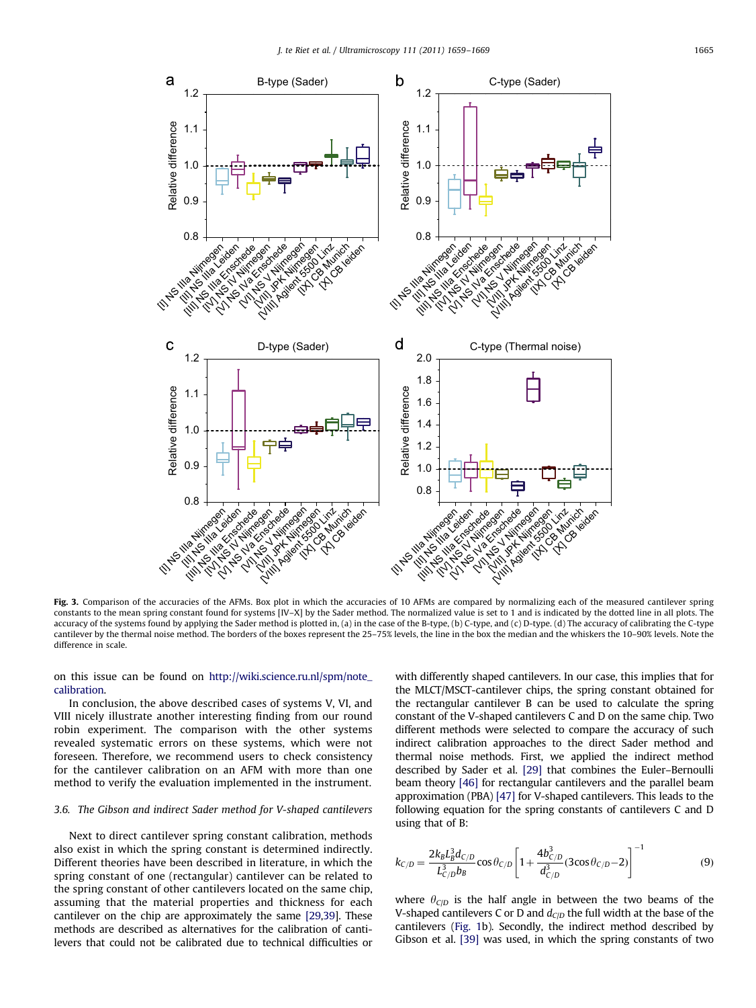<span id="page-6-0"></span>

Fig. 3. Comparison of the accuracies of the AFMs. Box plot in which the accuracies of 10 AFMs are compared by normalizing each of the measured cantilever spring constants to the mean spring constant found for systems [IV–X] by the Sader method. The normalized value is set to 1 and is indicated by the dotted line in all plots. The accuracy of the systems found by applying the Sader method is plotted in, (a) in the case of the B-type, (b) C-type, and (c) D-type. (d) The accuracy of calibrating the C-type cantilever by the thermal noise method. The borders of the boxes represent the 25–75% levels, the line in the box the median and the whiskers the 10–90% levels. Note the difference in scale.

on this issue can be found on [http://wiki.science.ru.nl/spm/note\\_](http://wiki.science.ru.nl/spm/note_calibration) [calibration.](http://wiki.science.ru.nl/spm/note_calibration)

In conclusion, the above described cases of systems V, VI, and VIII nicely illustrate another interesting finding from our round robin experiment. The comparison with the other systems revealed systematic errors on these systems, which were not foreseen. Therefore, we recommend users to check consistency for the cantilever calibration on an AFM with more than one method to verify the evaluation implemented in the instrument.

# 3.6. The Gibson and indirect Sader method for V-shaped cantilevers

Next to direct cantilever spring constant calibration, methods also exist in which the spring constant is determined indirectly. Different theories have been described in literature, in which the spring constant of one (rectangular) cantilever can be related to the spring constant of other cantilevers located on the same chip, assuming that the material properties and thickness for each cantilever on the chip are approximately the same [\[29,39\]](#page-9-0). These methods are described as alternatives for the calibration of cantilevers that could not be calibrated due to technical difficulties or with differently shaped cantilevers. In our case, this implies that for the MLCT/MSCT-cantilever chips, the spring constant obtained for the rectangular cantilever B can be used to calculate the spring constant of the V-shaped cantilevers C and D on the same chip. Two different methods were selected to compare the accuracy of such indirect calibration approaches to the direct Sader method and thermal noise methods. First, we applied the indirect method described by Sader et al. [\[29\]](#page-9-0) that combines the Euler–Bernoulli beam theory [\[46\]](#page-10-0) for rectangular cantilevers and the parallel beam approximation (PBA) [\[47\]](#page-10-0) for V-shaped cantilevers. This leads to the following equation for the spring constants of cantilevers C and D using that of B:

$$
k_{C/D} = \frac{2k_B L_B^3 d_{C/D}}{L_{C/D}^3 b_B} \cos \theta_{C/D} \left[ 1 + \frac{4b_{C/D}^3}{d_{C/D}^3} (3\cos\theta_{C/D} - 2) \right]^{-1}
$$
(9)

where  $\theta_{\text{C/D}}$  is the half angle in between the two beams of the V-shaped cantilevers C or D and  $d_{\text{ClD}}$  the full width at the base of the cantilevers [\(Fig. 1b](#page-3-0)). Secondly, the indirect method described by Gibson et al. [\[39\]](#page-9-0) was used, in which the spring constants of two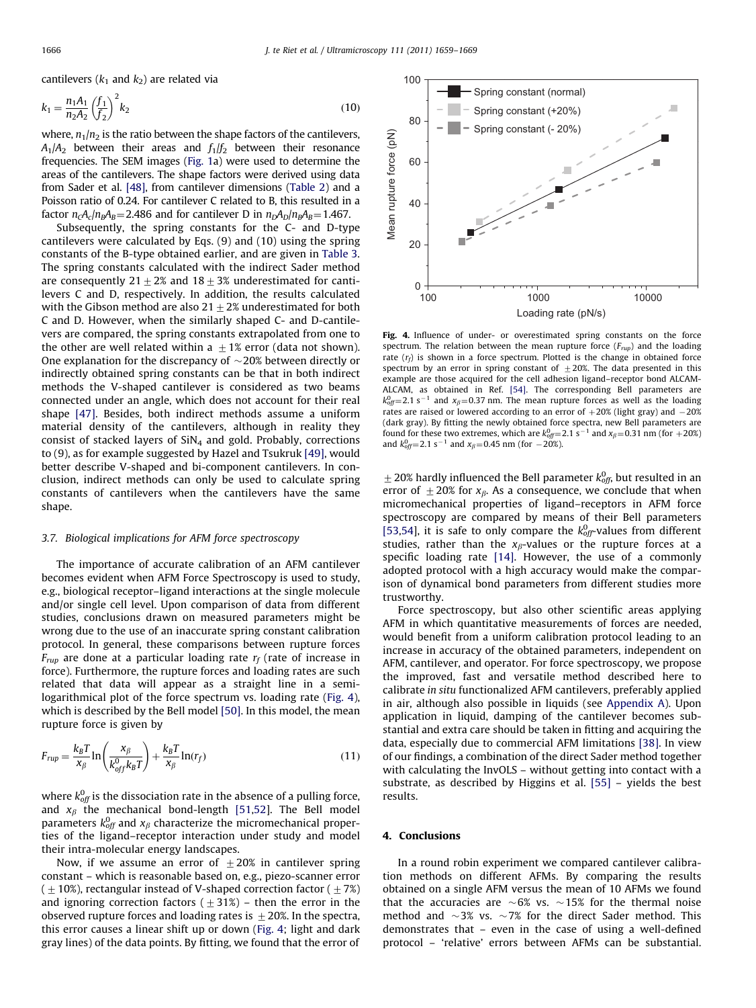cantilevers ( $k_1$  and  $k_2$ ) are related via

$$
k_1 = \frac{n_1 A_1}{n_2 A_2} \left(\frac{f_1}{f_2}\right)^2 k_2
$$
\n(10)

where,  $n_1/n_2$  is the ratio between the shape factors of the cantilevers,  $A_1/A_2$  between their areas and  $f_1/f_2$  between their resonance frequencies. The SEM images ([Fig. 1](#page-3-0)a) were used to determine the areas of the cantilevers. The shape factors were derived using data from Sader et al. [\[48\]](#page-10-0), from cantilever dimensions ([Table 2](#page-2-0)) and a Poisson ratio of 0.24. For cantilever C related to B, this resulted in a factor  $n_cA_c/n_BA_B$ = 2.486 and for cantilever D in  $n_DA_D/n_BA_B$ = 1.467.

Subsequently, the spring constants for the C- and D-type cantilevers were calculated by Eqs. (9) and (10) using the spring constants of the B-type obtained earlier, and are given in [Table 3.](#page-5-0) The spring constants calculated with the indirect Sader method are consequently  $21+2\%$  and  $18+3\%$  underestimated for cantilevers C and D, respectively. In addition, the results calculated with the Gibson method are also  $21\pm2\%$  underestimated for both C and D. However, when the similarly shaped C- and D-cantilevers are compared, the spring constants extrapolated from one to the other are well related within a  $\pm$  1% error (data not shown). One explanation for the discrepancy of  $\sim$  20% between directly or indirectly obtained spring constants can be that in both indirect methods the V-shaped cantilever is considered as two beams connected under an angle, which does not account for their real shape [\[47\]](#page-10-0). Besides, both indirect methods assume a uniform material density of the cantilevers, although in reality they consist of stacked layers of  $SiN<sub>4</sub>$  and gold. Probably, corrections to (9), as for example suggested by Hazel and Tsukruk [\[49\],](#page-10-0) would better describe V-shaped and bi-component cantilevers. In conclusion, indirect methods can only be used to calculate spring constants of cantilevers when the cantilevers have the same shape.

#### 3.7. Biological implications for AFM force spectroscopy

The importance of accurate calibration of an AFM cantilever becomes evident when AFM Force Spectroscopy is used to study, e.g., biological receptor–ligand interactions at the single molecule and/or single cell level. Upon comparison of data from different studies, conclusions drawn on measured parameters might be wrong due to the use of an inaccurate spring constant calibration protocol. In general, these comparisons between rupture forces  $F_{rup}$  are done at a particular loading rate  $r_f$  (rate of increase in force). Furthermore, the rupture forces and loading rates are such related that data will appear as a straight line in a semilogarithmical plot of the force spectrum vs. loading rate (Fig. 4), which is described by the Bell model [\[50\].](#page-10-0) In this model, the mean rupture force is given by

$$
F_{rup} = \frac{k_B T}{\mathcal{X}_{\beta}} \ln \left( \frac{\mathcal{X}_{\beta}}{k_{off}^0 k_B T} \right) + \frac{k_B T}{\mathcal{X}_{\beta}} \ln(r_f)
$$
\n(11)

where  $k_{\mathrm{off}}^{0}$  is the dissociation rate in the absence of a pulling force, and  $x_\beta$  the mechanical bond-length [\[51,52\]](#page-10-0). The Bell model parameters  $k_{\text{off}}^0$  and  $\text{x}_\beta$  characterize the micromechanical properties of the ligand–receptor interaction under study and model their intra-molecular energy landscapes.

Now, if we assume an error of  $\pm 20\%$  in cantilever spring constant – which is reasonable based on, e.g., piezo-scanner error  $(1+10\%)$ , rectangular instead of V-shaped correction factor  $(1+7\%)$ and ignoring correction factors ( $\pm$ 31%) – then the error in the observed rupture forces and loading rates is  $\pm 20$ %. In the spectra, this error causes a linear shift up or down (Fig. 4; light and dark gray lines) of the data points. By fitting, we found that the error of



Fig. 4. Influence of under- or overestimated spring constants on the force spectrum. The relation between the mean rupture force  $(F_{run})$  and the loading rate  $(r_f)$  is shown in a force spectrum. Plotted is the change in obtained force spectrum by an error in spring constant of  $\pm 20$ %. The data presented in this example are those acquired for the cell adhesion ligand–receptor bond ALCAM-ALCAM, as obtained in Ref. [\[54\]](#page-10-0). The corresponding Bell parameters are  $k_{off}^{0}=2.1 \text{ s}^{-1}$  and  $x_{\beta}=0.37 \text{ nm}$ . The mean rupture forces as well as the loading rates are raised or lowered according to an error of  $+20%$  (light gray) and  $-20%$ (dark gray). By fitting the newly obtained force spectra, new Bell parameters are found for these two extremes, which are  $k_{off}^{0}$  = 2.1 s<sup>-1</sup> and  $x_{\beta}$  = 0.31 nm (for +20%) and  $k_{off}^0$  = 2.1 s<sup>-1</sup> and  $x_\beta$  = 0.45 nm (for -20%).

 $\pm$  20% hardly influenced the Bell parameter  $k_{\text{off}}^0$ , but resulted in an error of  $\pm 20\%$  for  $x_\beta$ . As a consequence, we conclude that when micromechanical properties of ligand–receptors in AFM force spectroscopy are compared by means of their Bell parameters [\[53,54\]](#page-10-0), it is safe to only compare the  $k_{off}^0$ -values from different studies, rather than the  $x_\beta$ -values or the rupture forces at a specific loading rate [\[14\]](#page-9-0). However, the use of a commonly adopted protocol with a high accuracy would make the comparison of dynamical bond parameters from different studies more trustworthy.

Force spectroscopy, but also other scientific areas applying AFM in which quantitative measurements of forces are needed, would benefit from a uniform calibration protocol leading to an increase in accuracy of the obtained parameters, independent on AFM, cantilever, and operator. For force spectroscopy, we propose the improved, fast and versatile method described here to calibrate in situ functionalized AFM cantilevers, preferably applied in air, although also possible in liquids (see [Appendix A\)](#page-8-0). Upon application in liquid, damping of the cantilever becomes substantial and extra care should be taken in fitting and acquiring the data, especially due to commercial AFM limitations [\[38\]](#page-9-0). In view of our findings, a combination of the direct Sader method together with calculating the InvOLS – without getting into contact with a substrate, as described by Higgins et al. [\[55\]](#page-10-0) – yields the best results.

#### 4. Conclusions

In a round robin experiment we compared cantilever calibration methods on different AFMs. By comparing the results obtained on a single AFM versus the mean of 10 AFMs we found that the accuracies are  $\sim 6\%$  vs.  $\sim 15\%$  for the thermal noise method and  $\sim$ 3% vs.  $\sim$ 7% for the direct Sader method. This demonstrates that – even in the case of using a well-defined protocol – 'relative' errors between AFMs can be substantial.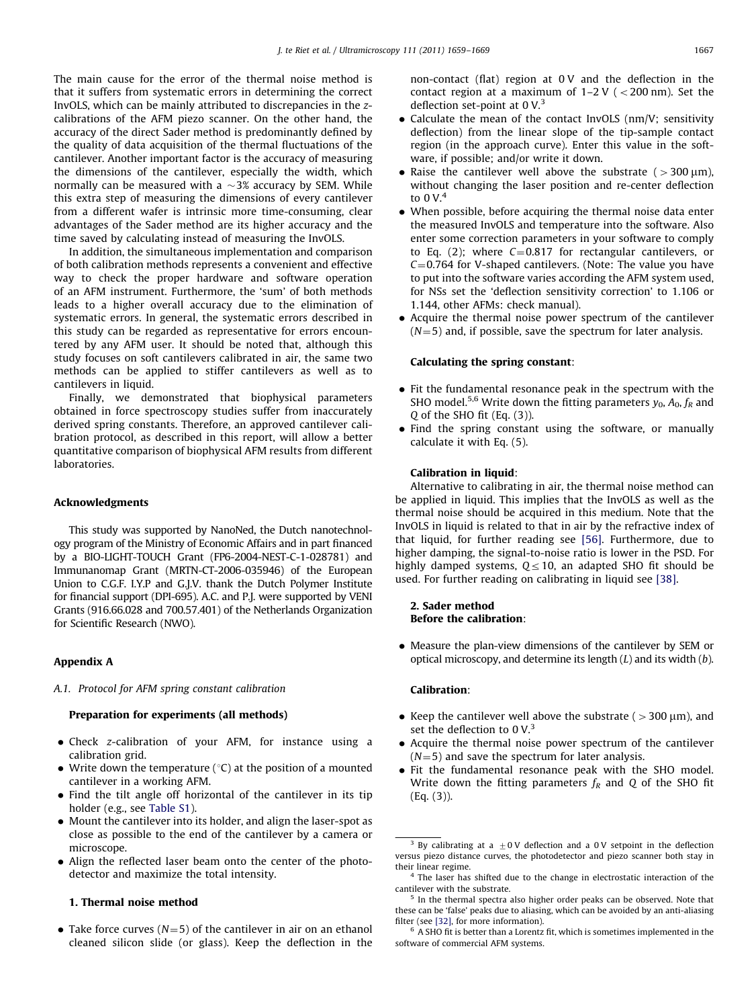<span id="page-8-0"></span>The main cause for the error of the thermal noise method is that it suffers from systematic errors in determining the correct InvOLS, which can be mainly attributed to discrepancies in the zcalibrations of the AFM piezo scanner. On the other hand, the accuracy of the direct Sader method is predominantly defined by the quality of data acquisition of the thermal fluctuations of the cantilever. Another important factor is the accuracy of measuring the dimensions of the cantilever, especially the width, which normally can be measured with a  $\sim$ 3% accuracy by SEM. While this extra step of measuring the dimensions of every cantilever from a different wafer is intrinsic more time-consuming, clear advantages of the Sader method are its higher accuracy and the time saved by calculating instead of measuring the InvOLS.

In addition, the simultaneous implementation and comparison of both calibration methods represents a convenient and effective way to check the proper hardware and software operation of an AFM instrument. Furthermore, the 'sum' of both methods leads to a higher overall accuracy due to the elimination of systematic errors. In general, the systematic errors described in this study can be regarded as representative for errors encountered by any AFM user. It should be noted that, although this study focuses on soft cantilevers calibrated in air, the same two methods can be applied to stiffer cantilevers as well as to cantilevers in liquid.

Finally, we demonstrated that biophysical parameters obtained in force spectroscopy studies suffer from inaccurately derived spring constants. Therefore, an approved cantilever calibration protocol, as described in this report, will allow a better quantitative comparison of biophysical AFM results from different laboratories.

#### Acknowledgments

This study was supported by NanoNed, the Dutch nanotechnology program of the Ministry of Economic Affairs and in part financed by a BIO-LIGHT-TOUCH Grant (FP6-2004-NEST-C-1-028781) and Immunanomap Grant (MRTN-CT-2006-035946) of the European Union to C.G.F. I.Y.P and G.J.V. thank the Dutch Polymer Institute for financial support (DPI-695). A.C. and P.J. were supported by VENI Grants (916.66.028 and 700.57.401) of the Netherlands Organization for Scientific Research (NWO).

## Appendix A

#### A.1. Protocol for AFM spring constant calibration

### Preparation for experiments (all methods)

- Check z-calibration of your AFM, for instance using a calibration grid.
- Write down the temperature ( $\degree$ C) at the position of a mounted cantilever in a working AFM.
- Find the tilt angle off horizontal of the cantilever in its tip holder (e.g., see [Table S1](#page-9-0)).
- Mount the cantilever into its holder, and align the laser-spot as close as possible to the end of the cantilever by a camera or microscope.
- Align the reflected laser beam onto the center of the photodetector and maximize the total intensity.

#### 1. Thermal noise method

• Take force curves ( $N=5$ ) of the cantilever in air on an ethanol cleaned silicon slide (or glass). Keep the deflection in the non-contact (flat) region at 0 V and the deflection in the contact region at a maximum of  $1-2$  V ( $<$  200 nm). Set the deflection set-point at 0 V.<sup>3</sup>

- Calculate the mean of the contact InvOLS (nm/V; sensitivity deflection) from the linear slope of the tip-sample contact region (in the approach curve). Enter this value in the software, if possible; and/or write it down.
- Raise the cantilever well above the substrate ( $>$ 300  $\mu$ m), without changing the laser position and re-center deflection to  $0 V<sup>4</sup>$
- When possible, before acquiring the thermal noise data enter the measured InvOLS and temperature into the software. Also enter some correction parameters in your software to comply to Eq. (2); where  $C=0.817$  for rectangular cantilevers, or  $C=0.764$  for V-shaped cantilevers. (Note: The value you have to put into the software varies according the AFM system used, for NSs set the 'deflection sensitivity correction' to 1.106 or 1.144, other AFMs: check manual).
- Acquire the thermal noise power spectrum of the cantilever  $(N=5)$  and, if possible, save the spectrum for later analysis.

# Calculating the spring constant:

- Fit the fundamental resonance peak in the spectrum with the SHO model.<sup>5,6</sup> Write down the fitting parameters  $y_0$ ,  $A_0$ ,  $f_R$  and Q of the SHO fit (Eq. (3)).
- Find the spring constant using the software, or manually calculate it with Eq. (5).

### Calibration in liquid:

Alternative to calibrating in air, the thermal noise method can be applied in liquid. This implies that the InvOLS as well as the thermal noise should be acquired in this medium. Note that the InvOLS in liquid is related to that in air by the refractive index of that liquid, for further reading see [\[56\]](#page-10-0). Furthermore, due to higher damping, the signal-to-noise ratio is lower in the PSD. For highly damped systems,  $Q \leq 10$ , an adapted SHO fit should be used. For further reading on calibrating in liquid see [\[38\].](#page-9-0)

# 2. Sader method Before the calibration:

 Measure the plan-view dimensions of the cantilever by SEM or optical microscopy, and determine its length  $(L)$  and its width  $(b)$ .

#### Calibration:

- Keep the cantilever well above the substrate ( $>$ 300  $\mu$ m), and set the deflection to  $0 V<sup>3</sup>$
- Acquire the thermal noise power spectrum of the cantilever  $(N=5)$  and save the spectrum for later analysis.
- Fit the fundamental resonance peak with the SHO model. Write down the fitting parameters  $f_R$  and Q of the SHO fit (Eq. (3)).

<sup>&</sup>lt;sup>3</sup> By calibrating at a  $\pm$  0 V deflection and a 0 V setpoint in the deflection versus piezo distance curves, the photodetector and piezo scanner both stay in their linear regime.

 $4$  The laser has shifted due to the change in electrostatic interaction of the cantilever with the substrate.

<sup>&</sup>lt;sup>5</sup> In the thermal spectra also higher order peaks can be observed. Note that these can be 'false' peaks due to aliasing, which can be avoided by an anti-aliasing filter (see [\[32\],](#page-9-0) for more information).

 $6$  A SHO fit is better than a Lorentz fit, which is sometimes implemented in the software of commercial AFM systems.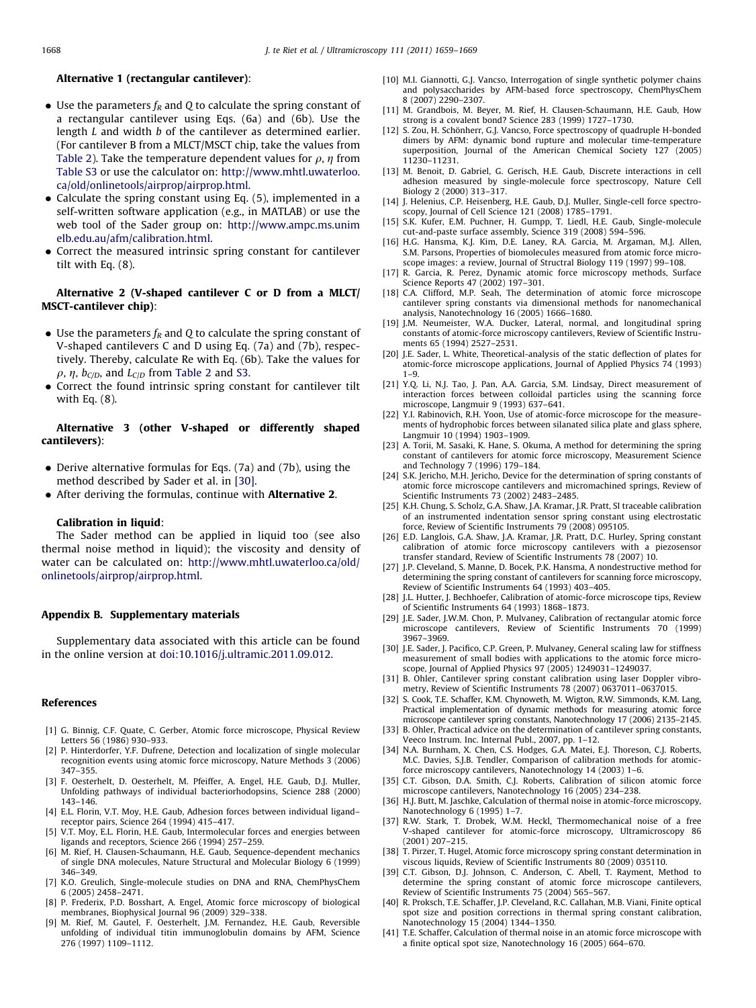#### <span id="page-9-0"></span>Alternative 1 (rectangular cantilever):

- Use the parameters  $f_R$  and Q to calculate the spring constant of a rectangular cantilever using Eqs. (6a) and (6b). Use the length L and width b of the cantilever as determined earlier. (For cantilever B from a MLCT/MSCT chip, take the values from [Table 2\)](#page-2-0). Take the temperature dependent values for  $\rho$ ,  $\eta$  from Table S3 or use the calculator on: [http://www.mhtl.uwaterloo.](http://www.mhtl.uwaterloo.ca/old/onlinetools/airprop/airprop.html) [ca/old/onlinetools/airprop/airprop.html.](http://www.mhtl.uwaterloo.ca/old/onlinetools/airprop/airprop.html)
- Calculate the spring constant using Eq. (5), implemented in a self-written software application (e.g., in MATLAB) or use the web tool of the Sader group on: [http://www.ampc.ms.unim](http://www.ampc.ms.unimelb.edu.au/afm/calibration.html) [elb.edu.au/afm/calibration.html.](http://www.ampc.ms.unimelb.edu.au/afm/calibration.html)
- Correct the measured intrinsic spring constant for cantilever tilt with Eq. (8).

# Alternative 2 (V-shaped cantilever C or D from a MLCT/ MSCT-cantilever chip):

- Use the parameters  $f_R$  and Q to calculate the spring constant of V-shaped cantilevers C and D using Eq. (7a) and (7b), respectively. Thereby, calculate Re with Eq. (6b). Take the values for  $\rho$ ,  $\eta$ ,  $b_{C/D}$ , and  $L_{C/D}$  from [Table 2](#page-2-0) and S3.
- Correct the found intrinsic spring constant for cantilever tilt with Eq. (8).

# Alternative 3 (other V-shaped or differently shaped cantilevers):

- Derive alternative formulas for Eqs. (7a) and (7b), using the method described by Sader et al. in [30].
- After deriving the formulas, continue with Alternative 2.

#### Calibration in liquid:

The Sader method can be applied in liquid too (see also thermal noise method in liquid); the viscosity and density of water can be calculated on: [http://www.mhtl.uwaterloo.ca/old/](http://www.mhtl.uwaterloo.ca/old/onlinetools/airprop/airprop.html) [onlinetools/airprop/airprop.html](http://www.mhtl.uwaterloo.ca/old/onlinetools/airprop/airprop.html).

### Appendix B. Supplementary materials

Supplementary data associated with this article can be found in the online version at [doi:10.1016/j.ultramic.2011.09.012.](doi:10.1016/j.ultramic.2011.09.012)

#### References

- [1] G. Binnig, C.F. Quate, C. Gerber, Atomic force microscope, Physical Review Letters 56 (1986) 930–933.
- [2] P. Hinterdorfer, Y.F. Dufrene, Detection and localization of single molecular recognition events using atomic force microscopy, Nature Methods 3 (2006) 347–355.
- [3] F. Oesterhelt, D. Oesterhelt, M. Pfeiffer, A. Engel, H.E. Gaub, D.J. Muller, Unfolding pathways of individual bacteriorhodopsins, Science 288 (2000) 143–146.
- [4] E.L. Florin, V.T. Moy, H.E. Gaub, Adhesion forces between individual ligand– receptor pairs, Science 264 (1994) 415–417.
- [5] V.T. Moy, E.L. Florin, H.E. Gaub, Intermolecular forces and energies between ligands and receptors, Science 266 (1994) 257–259.
- [6] M. Rief, H. Clausen-Schaumann, H.E. Gaub, Sequence-dependent mechanics of single DNA molecules, Nature Structural and Molecular Biology 6 (1999) 346–349.
- [7] K.O. Greulich, Single-molecule studies on DNA and RNA, ChemPhysChem 6 (2005) 2458–2471.
- [8] P. Frederix, P.D. Bosshart, A. Engel, Atomic force microscopy of biological membranes, Biophysical Journal 96 (2009) 329–338.
- [9] M. Rief, M. Gautel, F. Oesterhelt, J.M. Fernandez, H.E. Gaub, Reversible unfolding of individual titin immunoglobulin domains by AFM, Science 276 (1997) 1109–1112.
- [10] M.I. Giannotti, G.J. Vancso, Interrogation of single synthetic polymer chains and polysaccharides by AFM-based force spectroscopy, ChemPhysChem 8 (2007) 2290–2307.
- [11] M. Grandbois, M. Beyer, M. Rief, H. Clausen-Schaumann, H.E. Gaub, How strong is a covalent bond? Science 283 (1999) 1727–1730.
- [12] S. Zou, H. Schönherr, G.J. Vancso, Force spectroscopy of quadruple H-bonded dimers by AFM: dynamic bond rupture and molecular time-temperature superposition, Journal of the American Chemical Society 127 (2005) 11230–11231.
- [13] M. Benoit, D. Gabriel, G. Gerisch, H.E. Gaub, Discrete interactions in cell adhesion measured by single-molecule force spectroscopy, Nature Cell Biology 2 (2000) 313–317.
- [14] J. Helenius, C.P. Heisenberg, H.E. Gaub, D.J. Muller, Single-cell force spectroscopy, Journal of Cell Science 121 (2008) 1785–1791.
- [15] S.K. Kufer, E.M. Puchner, H. Gumpp, T. Liedl, H.E. Gaub, Single-molecule cut-and-paste surface assembly, Science 319 (2008) 594–596.
- [16] H.G. Hansma, K.J. Kim, D.E. Laney, R.A. Garcia, M. Argaman, M.J. Allen, S.M. Parsons, Properties of biomolecules measured from atomic force microscope images: a review, Journal of Structral Biology 119 (1997) 99–108.
- [17] R. Garcia, R. Perez, Dynamic atomic force microscopy methods, Surface Science Reports 47 (2002) 197–301.
- [18] C.A. Clifford, M.P. Seah, The determination of atomic force microscope cantilever spring constants via dimensional methods for nanomechanical analysis, Nanotechnology 16 (2005) 1666–1680.
- [19] J.M. Neumeister, W.A. Ducker, Lateral, normal, and longitudinal spring constants of atomic-force microscopy cantilevers, Review of Scientific Instruments 65 (1994) 2527–2531.
- [20] J.E. Sader, L. White, Theoretical-analysis of the static deflection of plates for atomic-force microscope applications, Journal of Applied Physics 74 (1993) 1–9.
- [21] Y.Q. Li, N.J. Tao, J. Pan, A.A. Garcia, S.M. Lindsay, Direct measurement of interaction forces between colloidal particles using the scanning force microscope, Langmuir 9 (1993) 637–641.
- [22] Y.I. Rabinovich, R.H. Yoon, Use of atomic-force microscope for the measurements of hydrophobic forces between silanated silica plate and glass sphere, Langmuir 10 (1994) 1903–1909.
- [23] A. Torii, M. Sasaki, K. Hane, S. Okuma, A method for determining the spring constant of cantilevers for atomic force microscopy, Measurement Science and Technology 7 (1996) 179–184.
- [24] S.K. Jericho, M.H. Jericho, Device for the determination of spring constants of atomic force microscope cantilevers and micromachined springs, Review of Scientific Instruments 73 (2002) 2483–2485.
- [25] K.H. Chung, S. Scholz, G.A. Shaw, J.A. Kramar, J.R. Pratt, SI traceable calibration of an instrumented indentation sensor spring constant using electrostatic force, Review of Scientific Instruments 79 (2008) 095105.
- [26] E.D. Langlois, G.A. Shaw, J.A. Kramar, J.R. Pratt, D.C. Hurley, Spring constant calibration of atomic force microscopy cantilevers with a piezosensor transfer standard, Review of Scientific Instruments 78 (2007) 10.
- [27] J.P. Cleveland, S. Manne, D. Bocek, P.K. Hansma, A nondestructive method for determining the spring constant of cantilevers for scanning force microscopy, Review of Scientific Instruments 64 (1993) 403–405.
- [28] J.L. Hutter, J. Bechhoefer, Calibration of atomic-force microscope tips, Review of Scientific Instruments 64 (1993) 1868–1873.
- [29] J.E. Sader, J.W.M. Chon, P. Mulvaney, Calibration of rectangular atomic force microscope cantilevers, Review of Scientific Instruments 70 (1999) 3967–3969.
- [30] J.E. Sader, J. Pacifico, C.P. Green, P. Mulvaney, General scaling law for stiffness measurement of small bodies with applications to the atomic force microscope, Journal of Applied Physics 97 (2005) 1249031–1249037.
- [31] B. Ohler, Cantilever spring constant calibration using laser Doppler vibrometry, Review of Scientific Instruments 78 (2007) 0637011–0637015.
- [32] S. Cook, T.E. Schaffer, K.M. Chynoweth, M. Wigton, R.W. Simmonds, K.M. Lang, Practical implementation of dynamic methods for measuring atomic force microscope cantilever spring constants, Nanotechnology 17 (2006) 2135–2145.
- [33] B. Ohler, Practical advice on the determination of cantilever spring constants, Veeco Instrum. Inc. Internal Publ., 2007, pp. 1–12.
- [34] N.A. Burnham, X. Chen, C.S. Hodges, G.A. Matei, E.J. Thoreson, C.J. Roberts, M.C. Davies, S.J.B. Tendler, Comparison of calibration methods for atomicforce microscopy cantilevers, Nanotechnology 14 (2003) 1–6.
- [35] C.T. Gibson, D.A. Smith, C.J. Roberts, Calibration of silicon atomic force microscope cantilevers, Nanotechnology 16 (2005) 234–238.
- [36] H.J. Butt, M. Jaschke, Calculation of thermal noise in atomic-force microscopy, Nanotechnology 6 (1995) 1-7
- [37] R.W. Stark, T. Drobek, W.M. Heckl, Thermomechanical noise of a free V-shaped cantilever for atomic-force microscopy, Ultramicroscopy 86 (2001) 207–215.
- [38] T. Pirzer, T. Hugel, Atomic force microscopy spring constant determination in viscous liquids, Review of Scientific Instruments 80 (2009) 035110.
- [39] C.T. Gibson, D.J. Johnson, C. Anderson, C. Abell, T. Rayment, Method to determine the spring constant of atomic force microscope cantilevers, Review of Scientific Instruments 75 (2004) 565–567.
- [40] R. Proksch, T.E. Schaffer, J.P. Cleveland, R.C. Callahan, M.B. Viani, Finite optical spot size and position corrections in thermal spring constant calibration, Nanotechnology 15 (2004) 1344–1350.
- [41] T.E. Schaffer, Calculation of thermal noise in an atomic force microscope with a finite optical spot size, Nanotechnology 16 (2005) 664–670.